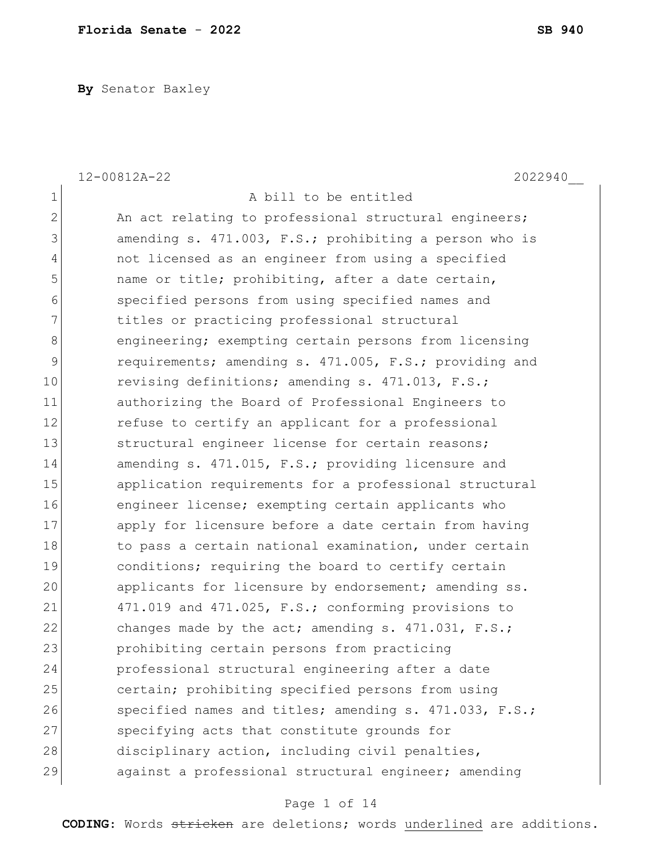**By** Senator Baxley

|                | 12-00812A-22<br>2022940                                |
|----------------|--------------------------------------------------------|
| $\mathbf 1$    | A bill to be entitled                                  |
| $\overline{2}$ | An act relating to professional structural engineers;  |
| 3              | amending s. 471.003, F.S.; prohibiting a person who is |
| 4              | not licensed as an engineer from using a specified     |
| 5              | name or title; prohibiting, after a date certain,      |
| 6              | specified persons from using specified names and       |
| 7              | titles or practicing professional structural           |
| 8              | engineering; exempting certain persons from licensing  |
| 9              | requirements; amending s. 471.005, F.S.; providing and |
| 10             | revising definitions; amending s. 471.013, F.S.;       |
| 11             | authorizing the Board of Professional Engineers to     |
| 12             | refuse to certify an applicant for a professional      |
| 13             | structural engineer license for certain reasons;       |
| 14             | amending s. 471.015, F.S.; providing licensure and     |
| 15             | application requirements for a professional structural |
| 16             | engineer license; exempting certain applicants who     |
| 17             | apply for licensure before a date certain from having  |
| 18             | to pass a certain national examination, under certain  |
| 19             | conditions; requiring the board to certify certain     |
| 20             | applicants for licensure by endorsement; amending ss.  |
| 21             | 471.019 and 471.025, F.S.; conforming provisions to    |
| 22             | changes made by the act; amending s. $471.031$ , F.S.; |
| 23             | prohibiting certain persons from practicing            |
| 24             | professional structural engineering after a date       |
| 25             | certain; prohibiting specified persons from using      |
| 26             | specified names and titles; amending s. 471.033, F.S.; |
| 27             | specifying acts that constitute grounds for            |
| 28             | disciplinary action, including civil penalties,        |
| 29             | against a professional structural engineer; amending   |

# Page 1 of 14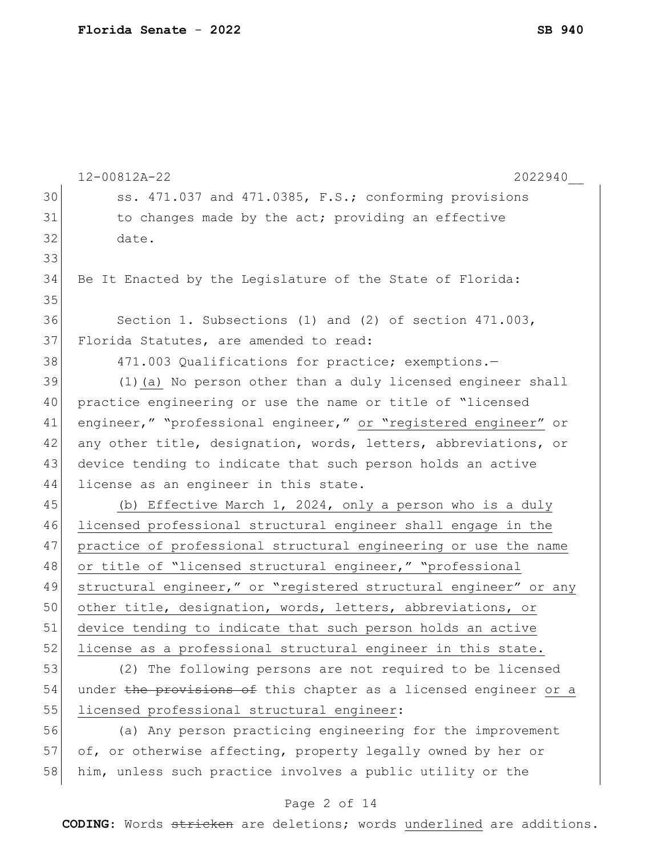|    | 2022940<br>12-00812A-22                                          |  |  |  |  |  |  |  |  |  |  |
|----|------------------------------------------------------------------|--|--|--|--|--|--|--|--|--|--|
| 30 | ss. 471.037 and 471.0385, F.S.; conforming provisions            |  |  |  |  |  |  |  |  |  |  |
| 31 | to changes made by the act; providing an effective               |  |  |  |  |  |  |  |  |  |  |
| 32 | date.                                                            |  |  |  |  |  |  |  |  |  |  |
| 33 |                                                                  |  |  |  |  |  |  |  |  |  |  |
| 34 | Be It Enacted by the Legislature of the State of Florida:        |  |  |  |  |  |  |  |  |  |  |
| 35 |                                                                  |  |  |  |  |  |  |  |  |  |  |
| 36 | Section 1. Subsections (1) and (2) of section 471.003,           |  |  |  |  |  |  |  |  |  |  |
| 37 | Florida Statutes, are amended to read:                           |  |  |  |  |  |  |  |  |  |  |
| 38 | 471.003 Qualifications for practice; exemptions.-                |  |  |  |  |  |  |  |  |  |  |
| 39 | (1) (a) No person other than a duly licensed engineer shall      |  |  |  |  |  |  |  |  |  |  |
| 40 | practice engineering or use the name or title of "licensed       |  |  |  |  |  |  |  |  |  |  |
| 41 | engineer," "professional engineer," or "registered engineer" or  |  |  |  |  |  |  |  |  |  |  |
| 42 | any other title, designation, words, letters, abbreviations, or  |  |  |  |  |  |  |  |  |  |  |
| 43 | device tending to indicate that such person holds an active      |  |  |  |  |  |  |  |  |  |  |
| 44 | license as an engineer in this state.                            |  |  |  |  |  |  |  |  |  |  |
| 45 | (b) Effective March 1, 2024, only a person who is a duly         |  |  |  |  |  |  |  |  |  |  |
| 46 | licensed professional structural engineer shall engage in the    |  |  |  |  |  |  |  |  |  |  |
| 47 | practice of professional structural engineering or use the name  |  |  |  |  |  |  |  |  |  |  |
| 48 | or title of "licensed structural engineer," "professional        |  |  |  |  |  |  |  |  |  |  |
| 49 | structural engineer," or "registered structural engineer" or any |  |  |  |  |  |  |  |  |  |  |
| 50 | other title, designation, words, letters, abbreviations, or      |  |  |  |  |  |  |  |  |  |  |
| 51 | device tending to indicate that such person holds an active      |  |  |  |  |  |  |  |  |  |  |
| 52 | license as a professional structural engineer in this state.     |  |  |  |  |  |  |  |  |  |  |
| 53 | (2) The following persons are not required to be licensed        |  |  |  |  |  |  |  |  |  |  |
| 54 | under the provisions of this chapter as a licensed engineer or a |  |  |  |  |  |  |  |  |  |  |
| 55 | licensed professional structural engineer:                       |  |  |  |  |  |  |  |  |  |  |
| 56 | (a) Any person practicing engineering for the improvement        |  |  |  |  |  |  |  |  |  |  |
| 57 | of, or otherwise affecting, property legally owned by her or     |  |  |  |  |  |  |  |  |  |  |
| 58 | him, unless such practice involves a public utility or the       |  |  |  |  |  |  |  |  |  |  |

# Page 2 of 14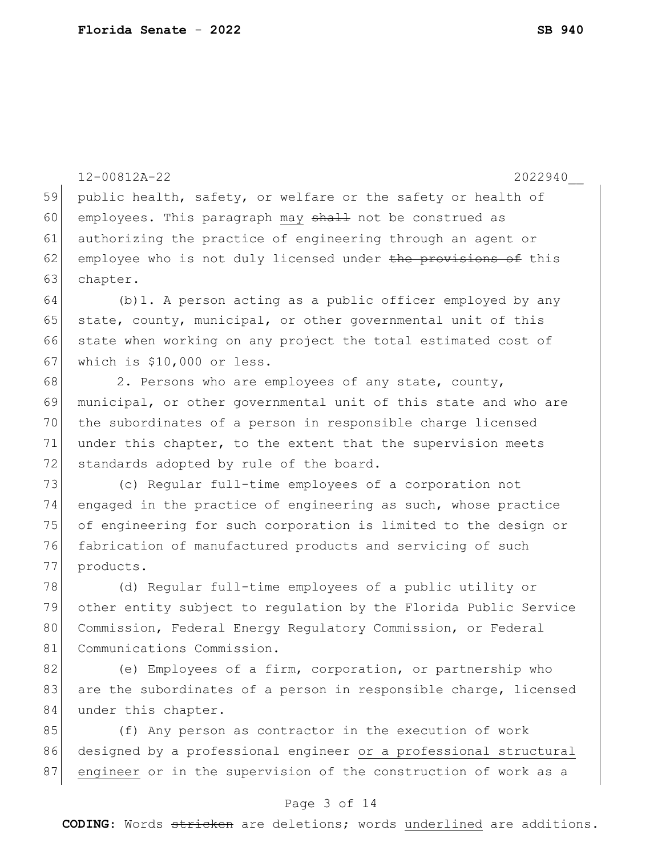12-00812A-22 2022940\_\_ 59 public health, safety, or welfare or the safety or health of 60 employees. This paragraph may shall not be construed as 61 authorizing the practice of engineering through an agent or 62 employee who is not duly licensed under the provisions of this 63 chapter.  $64$  (b)1. A person acting as a public officer employed by any 65 state, county, municipal, or other governmental unit of this 66 state when working on any project the total estimated cost of 67 which is \$10,000 or less. 68 2. Persons who are employees of any state, county, 69 municipal, or other governmental unit of this state and who are 70 the subordinates of a person in responsible charge licensed 71 under this chapter, to the extent that the supervision meets 72 standards adopted by rule of the board. 73 (c) Regular full-time employees of a corporation not 74 engaged in the practice of engineering as such, whose practice 75 of engineering for such corporation is limited to the design or 76 fabrication of manufactured products and servicing of such 77 products. 78 (d) Regular full-time employees of a public utility or 79 other entity subject to regulation by the Florida Public Service 80 Commission, Federal Energy Regulatory Commission, or Federal 81 Communications Commission. 82 (e) Employees of a firm, corporation, or partnership who 83 are the subordinates of a person in responsible charge, licensed 84 under this chapter. 85 (f) Any person as contractor in the execution of work 86 designed by a professional engineer or a professional structural 87 engineer or in the supervision of the construction of work as a

#### Page 3 of 14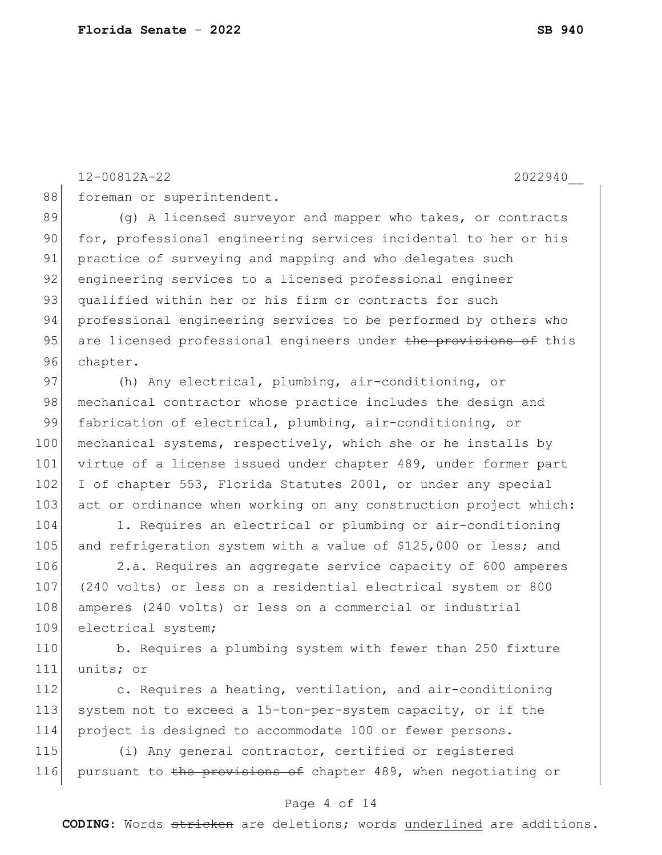12-00812A-22 2022940\_\_

88 foreman or superintendent.

89 (g) A licensed surveyor and mapper who takes, or contracts 90 for, professional engineering services incidental to her or his 91 practice of surveying and mapping and who delegates such 92 engineering services to a licensed professional engineer 93 qualified within her or his firm or contracts for such 94 professional engineering services to be performed by others who 95 are licensed professional engineers under the provisions of this 96 chapter.

97 (h) Any electrical, plumbing, air-conditioning, or 98 mechanical contractor whose practice includes the design and 99 fabrication of electrical, plumbing, air-conditioning, or 100 mechanical systems, respectively, which she or he installs by 101 virtue of a license issued under chapter 489, under former part 102 I of chapter 553, Florida Statutes 2001, or under any special 103 act or ordinance when working on any construction project which:

104 1. Requires an electrical or plumbing or air-conditioning 105 and refrigeration system with a value of \$125,000 or less; and

 2.a. Requires an aggregate service capacity of 600 amperes (240 volts) or less on a residential electrical system or 800 108 amperes (240 volts) or less on a commercial or industrial electrical system;

110 b. Requires a plumbing system with fewer than 250 fixture 111 units; or

112 c. Requires a heating, ventilation, and air-conditioning 113 system not to exceed a 15-ton-per-system capacity, or if the 114 project is designed to accommodate 100 or fewer persons.

115 (i) Any general contractor, certified or registered 116 pursuant to the provisions of chapter 489, when negotiating or

#### Page 4 of 14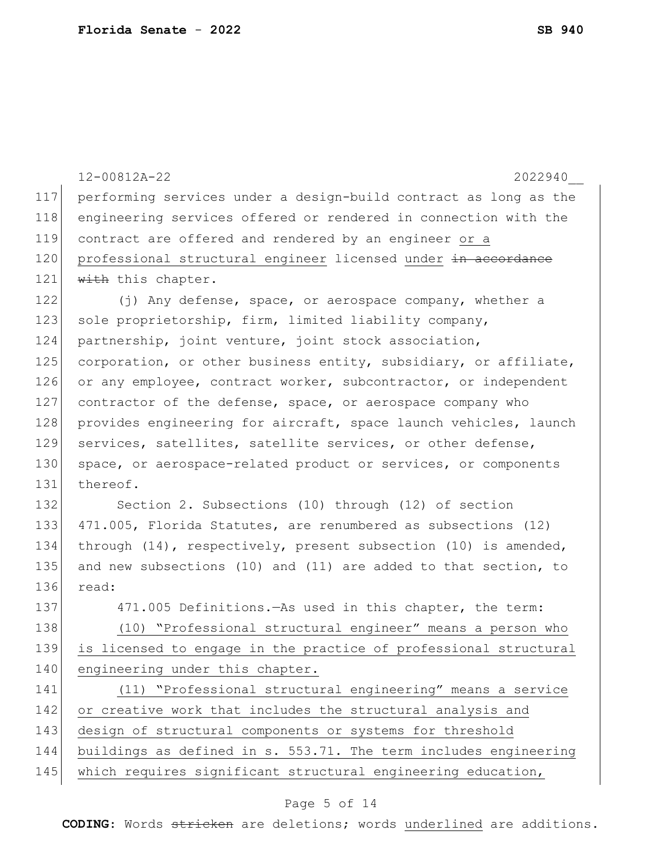|     | 12-00812A-22<br>2022940                                          |  |  |  |  |  |  |  |  |  |  |
|-----|------------------------------------------------------------------|--|--|--|--|--|--|--|--|--|--|
| 117 | performing services under a design-build contract as long as the |  |  |  |  |  |  |  |  |  |  |
| 118 | engineering services offered or rendered in connection with the  |  |  |  |  |  |  |  |  |  |  |
| 119 | contract are offered and rendered by an engineer or a            |  |  |  |  |  |  |  |  |  |  |
| 120 | professional structural engineer licensed under in accordance    |  |  |  |  |  |  |  |  |  |  |
| 121 | with this chapter.                                               |  |  |  |  |  |  |  |  |  |  |
| 122 | (j) Any defense, space, or aerospace company, whether a          |  |  |  |  |  |  |  |  |  |  |
| 123 | sole proprietorship, firm, limited liability company,            |  |  |  |  |  |  |  |  |  |  |
| 124 | partnership, joint venture, joint stock association,             |  |  |  |  |  |  |  |  |  |  |
| 125 | corporation, or other business entity, subsidiary, or affiliate, |  |  |  |  |  |  |  |  |  |  |
| 126 | or any employee, contract worker, subcontractor, or independent  |  |  |  |  |  |  |  |  |  |  |
| 127 | contractor of the defense, space, or aerospace company who       |  |  |  |  |  |  |  |  |  |  |
| 128 | provides engineering for aircraft, space launch vehicles, launch |  |  |  |  |  |  |  |  |  |  |
| 129 | services, satellites, satellite services, or other defense,      |  |  |  |  |  |  |  |  |  |  |
| 130 | space, or aerospace-related product or services, or components   |  |  |  |  |  |  |  |  |  |  |
| 131 | thereof.                                                         |  |  |  |  |  |  |  |  |  |  |
| 132 | Section 2. Subsections (10) through (12) of section              |  |  |  |  |  |  |  |  |  |  |
| 133 | 471.005, Florida Statutes, are renumbered as subsections (12)    |  |  |  |  |  |  |  |  |  |  |
| 134 | through (14), respectively, present subsection (10) is amended,  |  |  |  |  |  |  |  |  |  |  |
| 135 | and new subsections (10) and (11) are added to that section, to  |  |  |  |  |  |  |  |  |  |  |
| 136 | read:                                                            |  |  |  |  |  |  |  |  |  |  |
| 137 | 471.005 Definitions. - As used in this chapter, the term:        |  |  |  |  |  |  |  |  |  |  |
| 138 | (10) "Professional structural engineer" means a person who       |  |  |  |  |  |  |  |  |  |  |
| 139 | is licensed to engage in the practice of professional structural |  |  |  |  |  |  |  |  |  |  |
| 140 | engineering under this chapter.                                  |  |  |  |  |  |  |  |  |  |  |
| 141 | (11) "Professional structural engineering" means a service       |  |  |  |  |  |  |  |  |  |  |
| 142 | or creative work that includes the structural analysis and       |  |  |  |  |  |  |  |  |  |  |
| 143 | design of structural components or systems for threshold         |  |  |  |  |  |  |  |  |  |  |
| 144 | buildings as defined in s. 553.71. The term includes engineering |  |  |  |  |  |  |  |  |  |  |
| 145 | which requires significant structural engineering education,     |  |  |  |  |  |  |  |  |  |  |

# Page 5 of 14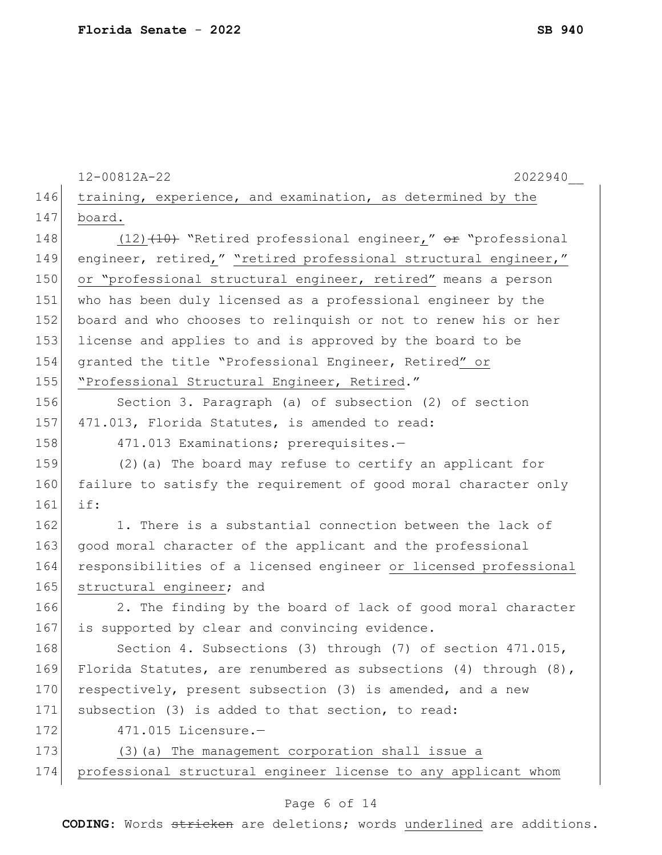|     | 12-00812A-22<br>2022940                                               |
|-----|-----------------------------------------------------------------------|
| 146 | training, experience, and examination, as determined by the           |
| 147 | board.                                                                |
| 148 | $(12)$ $(10)$ "Retired professional engineer," or "professional       |
| 149 | engineer, retired," "retired professional structural engineer,"       |
| 150 | or "professional structural engineer, retired" means a person         |
| 151 | who has been duly licensed as a professional engineer by the          |
| 152 | board and who chooses to relinquish or not to renew his or her        |
| 153 | license and applies to and is approved by the board to be             |
| 154 | granted the title "Professional Engineer, Retired" or                 |
| 155 | "Professional Structural Engineer, Retired."                          |
| 156 | Section 3. Paragraph (a) of subsection (2) of section                 |
| 157 | 471.013, Florida Statutes, is amended to read:                        |
| 158 | 471.013 Examinations; prerequisites.-                                 |
| 159 | (2) (a) The board may refuse to certify an applicant for              |
| 160 | failure to satisfy the requirement of good moral character only       |
| 161 | if:                                                                   |
| 162 | 1. There is a substantial connection between the lack of              |
| 163 | good moral character of the applicant and the professional            |
| 164 | responsibilities of a licensed engineer or licensed professional      |
| 165 | structural engineer; and                                              |
| 166 | 2. The finding by the board of lack of good moral character           |
| 167 | is supported by clear and convincing evidence.                        |
| 168 | Section 4. Subsections (3) through (7) of section 471.015,            |
| 169 | Florida Statutes, are renumbered as subsections $(4)$ through $(8)$ , |
| 170 | respectively, present subsection (3) is amended, and a new            |
| 171 | subsection (3) is added to that section, to read:                     |
| 172 | $471.015$ Licensure.-                                                 |
| 173 | (3) (a) The management corporation shall issue a                      |
| 174 | professional structural engineer license to any applicant whom        |
|     | Page 6 of 14                                                          |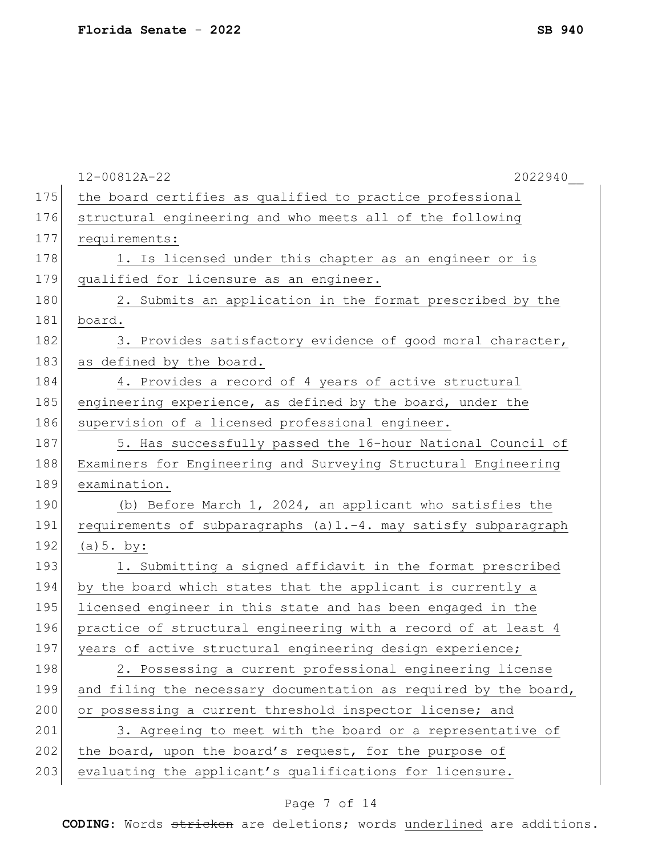|     | 12-00812A-22<br>2022940                                          |
|-----|------------------------------------------------------------------|
| 175 | the board certifies as qualified to practice professional        |
| 176 | structural engineering and who meets all of the following        |
| 177 | requirements:                                                    |
| 178 | 1. Is licensed under this chapter as an engineer or is           |
| 179 | qualified for licensure as an engineer.                          |
| 180 | 2. Submits an application in the format prescribed by the        |
| 181 | board.                                                           |
| 182 | 3. Provides satisfactory evidence of good moral character,       |
| 183 | as defined by the board.                                         |
| 184 | 4. Provides a record of 4 years of active structural             |
| 185 | engineering experience, as defined by the board, under the       |
| 186 | supervision of a licensed professional engineer.                 |
| 187 | 5. Has successfully passed the 16-hour National Council of       |
| 188 | Examiners for Engineering and Surveying Structural Engineering   |
| 189 | examination.                                                     |
| 190 | (b) Before March 1, 2024, an applicant who satisfies the         |
| 191 | requirements of subparagraphs (a)1.-4. may satisfy subparagraph  |
| 192 | (a) $5.$ by:                                                     |
| 193 | 1. Submitting a signed affidavit in the format prescribed        |
| 194 | by the board which states that the applicant is currently a      |
| 195 | licensed engineer in this state and has been engaged in the      |
| 196 | practice of structural engineering with a record of at least 4   |
| 197 | years of active structural engineering design experience;        |
| 198 | 2. Possessing a current professional engineering license         |
| 199 | and filing the necessary documentation as required by the board, |
| 200 | or possessing a current threshold inspector license; and         |
| 201 | 3. Agreeing to meet with the board or a representative of        |
| 202 | the board, upon the board's request, for the purpose of          |
| 203 | evaluating the applicant's qualifications for licensure.         |
|     |                                                                  |

# Page 7 of 14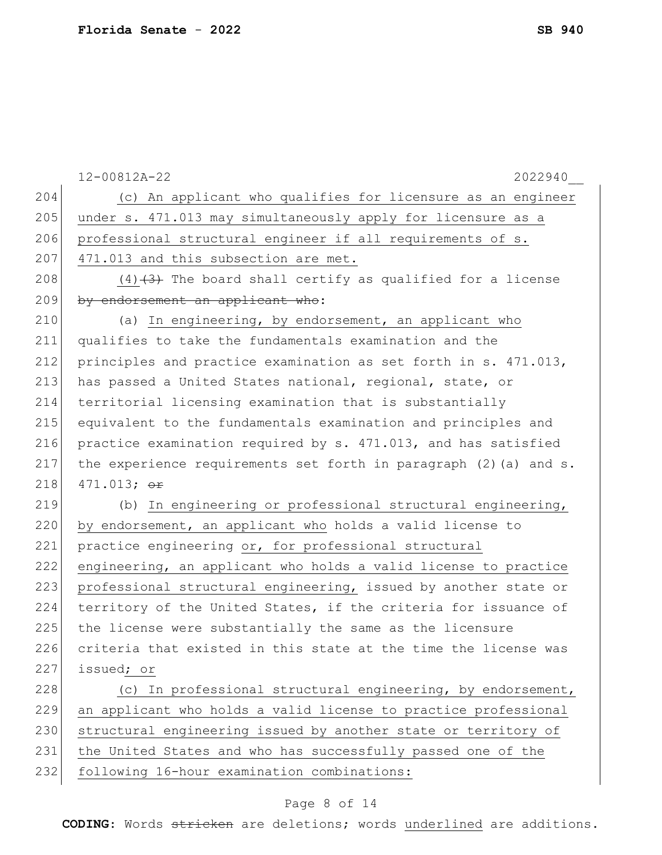|     | $12 - 00812A - 22$<br>2022940                                       |
|-----|---------------------------------------------------------------------|
| 204 | (c) An applicant who qualifies for licensure as an engineer         |
| 205 | under s. 471.013 may simultaneously apply for licensure as a        |
| 206 | professional structural engineer if all requirements of s.          |
| 207 | 471.013 and this subsection are met.                                |
| 208 | $(4)$ $(3)$ The board shall certify as qualified for a license      |
| 209 | by endorsement an applicant who:                                    |
| 210 | (a) In engineering, by endorsement, an applicant who                |
| 211 | qualifies to take the fundamentals examination and the              |
| 212 | principles and practice examination as set forth in s. 471.013,     |
| 213 | has passed a United States national, regional, state, or            |
| 214 | territorial licensing examination that is substantially             |
| 215 | equivalent to the fundamentals examination and principles and       |
| 216 | practice examination required by s. 471.013, and has satisfied      |
| 217 | the experience requirements set forth in paragraph $(2)$ (a) and s. |
| 218 | 471.013; $\Theta$ r                                                 |
| 219 | (b) In engineering or professional structural engineering,          |
| 220 | by endorsement, an applicant who holds a valid license to           |
| 221 | practice engineering or, for professional structural                |
| 222 | engineering, an applicant who holds a valid license to practice     |
| 223 | professional structural engineering, issued by another state or     |
| 224 | territory of the United States, if the criteria for issuance of     |
| 225 | the license were substantially the same as the licensure            |
| 226 | criteria that existed in this state at the time the license was     |
| 227 | issued; or                                                          |
| 228 | (c) In professional structural engineering, by endorsement,         |
| 229 | an applicant who holds a valid license to practice professional     |
| 230 | structural engineering issued by another state or territory of      |
| 231 | the United States and who has successfully passed one of the        |
| 232 | following 16-hour examination combinations:                         |
|     |                                                                     |

# Page 8 of 14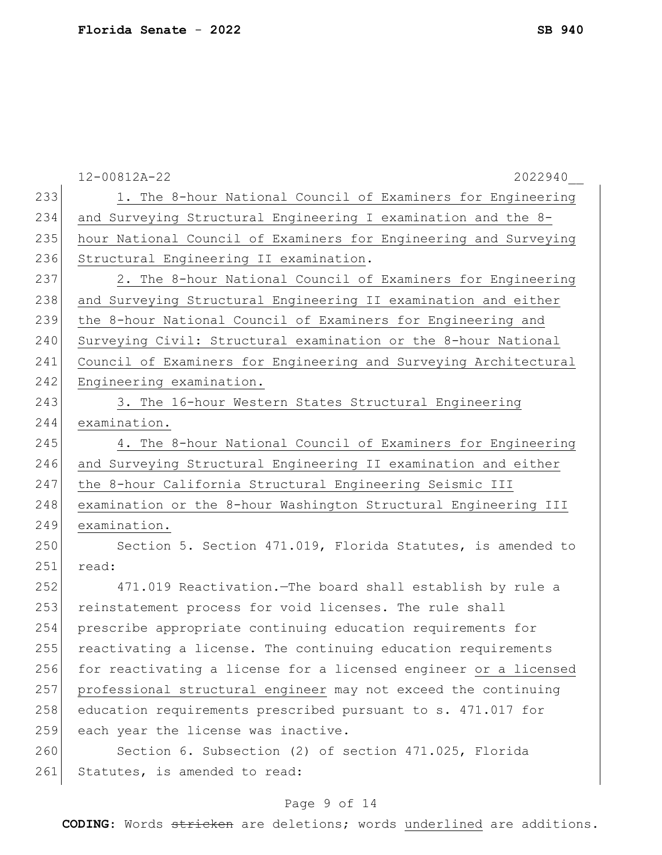|     | 12-00812A-22<br>2022940                                          |
|-----|------------------------------------------------------------------|
| 233 | 1. The 8-hour National Council of Examiners for Engineering      |
| 234 | and Surveying Structural Engineering I examination and the 8-    |
| 235 | hour National Council of Examiners for Engineering and Surveying |
| 236 | Structural Engineering II examination.                           |
| 237 | 2. The 8-hour National Council of Examiners for Engineering      |
| 238 | and Surveying Structural Engineering II examination and either   |
| 239 | the 8-hour National Council of Examiners for Engineering and     |
| 240 | Surveying Civil: Structural examination or the 8-hour National   |
| 241 | Council of Examiners for Engineering and Surveying Architectural |
| 242 | Engineering examination.                                         |
| 243 | 3. The 16-hour Western States Structural Engineering             |
| 244 | examination.                                                     |
| 245 | 4. The 8-hour National Council of Examiners for Engineering      |
| 246 | and Surveying Structural Engineering II examination and either   |
| 247 | the 8-hour California Structural Engineering Seismic III         |
| 248 | examination or the 8-hour Washington Structural Engineering III  |
| 249 | examination.                                                     |
| 250 | Section 5. Section 471.019, Florida Statutes, is amended to      |
| 251 | read:                                                            |
| 252 | 471.019 Reactivation. - The board shall establish by rule a      |
| 253 | reinstatement process for void licenses. The rule shall          |
| 254 | prescribe appropriate continuing education requirements for      |
| 255 | reactivating a license. The continuing education requirements    |
| 256 | for reactivating a license for a licensed engineer or a licensed |
| 257 | professional structural engineer may not exceed the continuing   |
| 258 | education requirements prescribed pursuant to s. 471.017 for     |
| 259 | each year the license was inactive.                              |
| 260 | Section 6. Subsection (2) of section 471.025, Florida            |
| 261 | Statutes, is amended to read:                                    |

# Page 9 of 14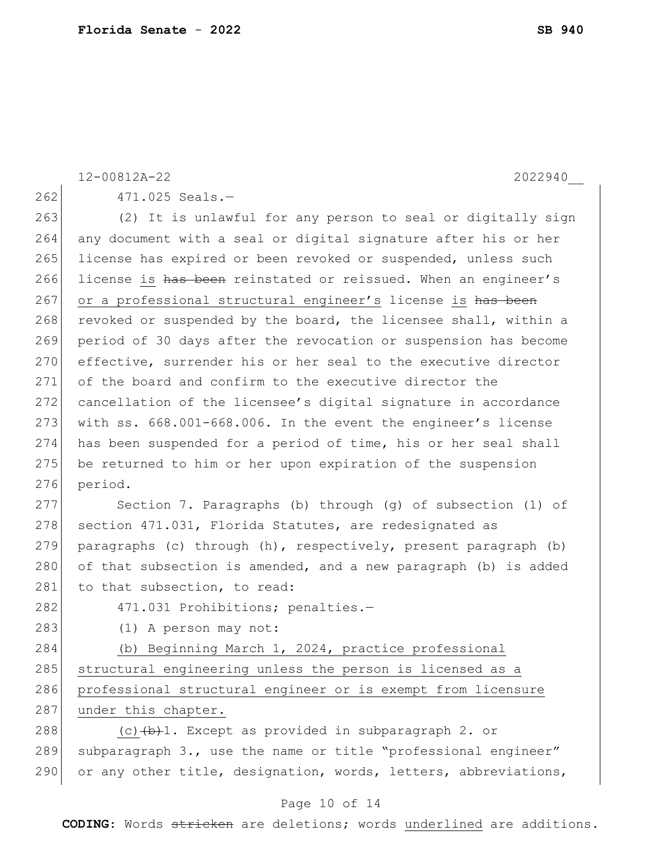|     | 12-00812A-22<br>2022940                                         |
|-----|-----------------------------------------------------------------|
| 262 | $471.025$ Seals.-                                               |
| 263 | (2) It is unlawful for any person to seal or digitally sign     |
| 264 | any document with a seal or digital signature after his or her  |
| 265 | license has expired or been revoked or suspended, unless such   |
| 266 | license is has been reinstated or reissued. When an engineer's  |
| 267 | or a professional structural engineer's license is has been     |
| 268 | revoked or suspended by the board, the licensee shall, within a |
| 269 | period of 30 days after the revocation or suspension has become |
| 270 | effective, surrender his or her seal to the executive director  |
| 271 | of the board and confirm to the executive director the          |
| 272 | cancellation of the licensee's digital signature in accordance  |
| 273 | with ss. 668.001-668.006. In the event the engineer's license   |
| 274 | has been suspended for a period of time, his or her seal shall  |
| 275 | be returned to him or her upon expiration of the suspension     |
| 276 | period.                                                         |
| 277 | Section 7. Paragraphs (b) through (g) of subsection (1) of      |
| 278 | section 471.031, Florida Statutes, are redesignated as          |
| 279 | paragraphs (c) through (h), respectively, present paragraph (b) |
| 280 | of that subsection is amended, and a new paragraph (b) is added |
| 281 | to that subsection, to read:                                    |
| 282 | 471.031 Prohibitions; penalties.-                               |
| 283 | (1) A person may not:                                           |
| 284 | (b) Beginning March 1, 2024, practice professional              |
| 285 | structural engineering unless the person is licensed as a       |
| 286 | professional structural engineer or is exempt from licensure    |
| 287 | under this chapter.                                             |
| 288 | (c) $(b+1)$ . Except as provided in subparagraph 2. or          |
| 289 | subparagraph 3., use the name or title "professional engineer"  |
| 290 | or any other title, designation, words, letters, abbreviations, |

# Page 10 of 14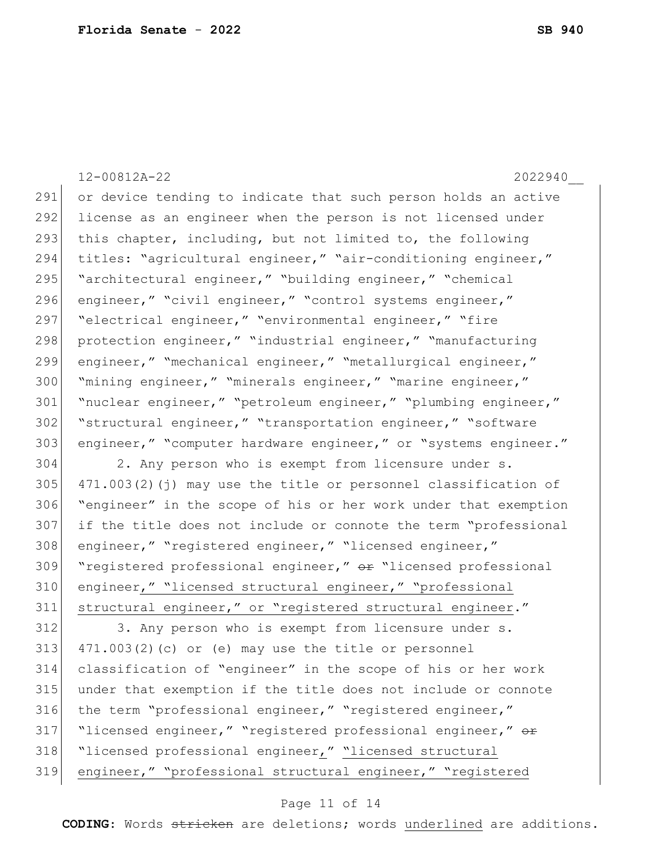12-00812A-22 2022940\_\_ 291 or device tending to indicate that such person holds an active 292 license as an engineer when the person is not licensed under 293 this chapter, including, but not limited to, the following 294 titles: "agricultural engineer," "air-conditioning engineer," 295 | "architectural engineer," "building engineer," "chemical 296 engineer," "civil engineer," "control systems engineer," 297 | "electrical engineer," "environmental engineer," "fire 298 protection engineer," "industrial engineer," "manufacturing 299 engineer," "mechanical engineer," "metallurgical engineer," 300 "mining engineer," "minerals engineer," "marine engineer," 301 "nuclear engineer," "petroleum engineer," "plumbing engineer," 302 "structural engineer," "transportation engineer," "software 303 engineer," "computer hardware engineer," or "systems engineer." 304 2. Any person who is exempt from licensure under s. 305  $\vert$  471.003(2)(j) may use the title or personnel classification of 306 "engineer" in the scope of his or her work under that exemption 307 if the title does not include or connote the term "professional 308 engineer," "registered engineer," "licensed engineer," 309 "registered professional engineer," or "licensed professional 310 engineer," "licensed structural engineer," "professional 311 structural engineer," or "registered structural engineer." 312 3. Any person who is exempt from licensure under s.  $313$  471.003(2)(c) or (e) may use the title or personnel 314 classification of "engineer" in the scope of his or her work 315 under that exemption if the title does not include or connote 316 the term "professional engineer," "registered engineer," 317 "licensed engineer," "registered professional engineer," or 318 "licensed professional engineer," "licensed structural 319 engineer," "professional structural engineer," "registered

#### Page 11 of 14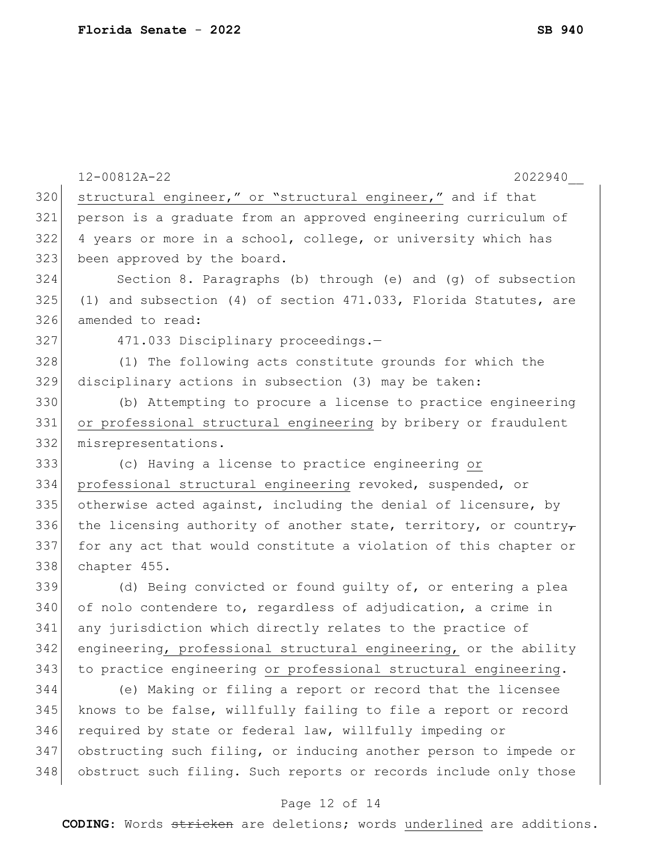|     | 12-00812A-22<br>2022940                                          |
|-----|------------------------------------------------------------------|
| 320 | structural engineer," or "structural engineer," and if that      |
| 321 | person is a graduate from an approved engineering curriculum of  |
| 322 | 4 years or more in a school, college, or university which has    |
| 323 | been approved by the board.                                      |
| 324 | Section 8. Paragraphs (b) through (e) and (g) of subsection      |
| 325 | (1) and subsection (4) of section 471.033, Florida Statutes, are |
| 326 | amended to read:                                                 |
| 327 | 471.033 Disciplinary proceedings.-                               |
| 328 | (1) The following acts constitute grounds for which the          |
| 329 | disciplinary actions in subsection (3) may be taken:             |
| 330 | (b) Attempting to procure a license to practice engineering      |
| 331 | or professional structural engineering by bribery or fraudulent  |
| 332 | misrepresentations.                                              |
| 333 | (c) Having a license to practice engineering or                  |
| 334 | professional structural engineering revoked, suspended, or       |
| 335 | otherwise acted against, including the denial of licensure, by   |
| 336 | the licensing authority of another state, territory, or country- |
| 337 | for any act that would constitute a violation of this chapter or |
| 338 | chapter 455.                                                     |
| 339 | (d) Being convicted or found guilty of, or entering a plea       |
| 340 | of nolo contendere to, regardless of adjudication, a crime in    |
| 341 | any jurisdiction which directly relates to the practice of       |
| 342 | engineering, professional structural engineering, or the ability |
| 343 | to practice engineering or professional structural engineering.  |
| 344 | (e) Making or filing a report or record that the licensee        |
| 345 | knows to be false, willfully failing to file a report or record  |
| 346 | required by state or federal law, willfully impeding or          |
| 347 | obstructing such filing, or inducing another person to impede or |
| 348 | obstruct such filing. Such reports or records include only those |

# Page 12 of 14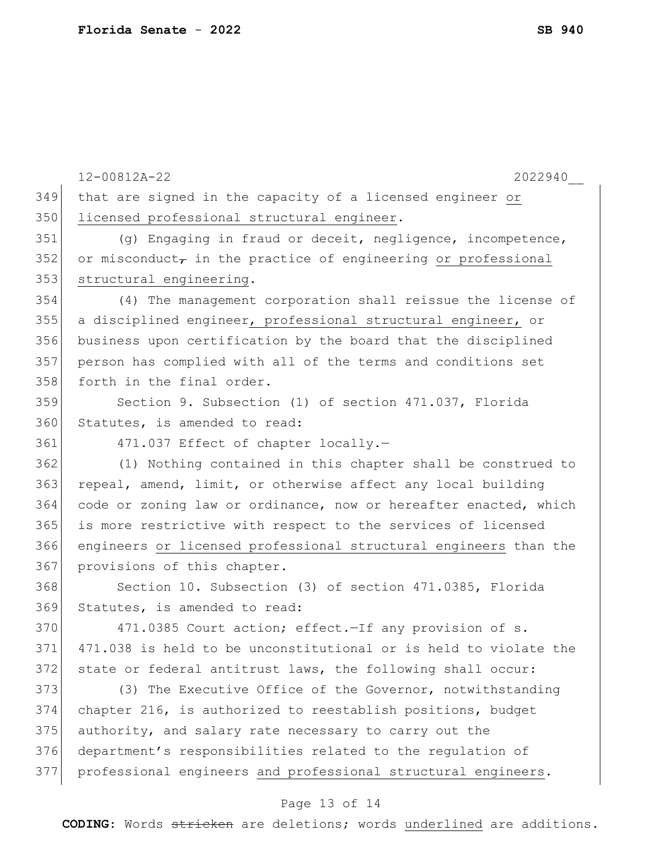|     | 12-00812A-22<br>2022940                                             |
|-----|---------------------------------------------------------------------|
| 349 | that are signed in the capacity of a licensed engineer or           |
| 350 | licensed professional structural engineer.                          |
| 351 | (g) Engaging in fraud or deceit, negligence, incompetence,          |
| 352 | or misconduct $\tau$ in the practice of engineering or professional |
| 353 | structural engineering.                                             |
| 354 | (4) The management corporation shall reissue the license of         |
| 355 | a disciplined engineer, professional structural engineer, or        |
| 356 | business upon certification by the board that the disciplined       |
| 357 | person has complied with all of the terms and conditions set        |
| 358 | forth in the final order.                                           |
| 359 | Section 9. Subsection (1) of section 471.037, Florida               |
| 360 | Statutes, is amended to read:                                       |
| 361 | 471.037 Effect of chapter locally.-                                 |
| 362 | (1) Nothing contained in this chapter shall be construed to         |
| 363 | repeal, amend, limit, or otherwise affect any local building        |
| 364 | code or zoning law or ordinance, now or hereafter enacted, which    |
| 365 | is more restrictive with respect to the services of licensed        |
| 366 | engineers or licensed professional structural engineers than the    |
| 367 | provisions of this chapter.                                         |
| 368 | Section 10. Subsection (3) of section 471.0385, Florida             |
| 369 | Statutes, is amended to read:                                       |
| 370 | 471.0385 Court action; effect. - If any provision of s.             |
| 371 | 471.038 is held to be unconstitutional or is held to violate the    |
| 372 | state or federal antitrust laws, the following shall occur:         |
| 373 | (3) The Executive Office of the Governor, notwithstanding           |
| 374 | chapter 216, is authorized to reestablish positions, budget         |
| 375 | authority, and salary rate necessary to carry out the               |
| 376 | department's responsibilities related to the regulation of          |
| 377 | professional engineers and professional structural engineers.       |
|     |                                                                     |

#### Page 13 of 14